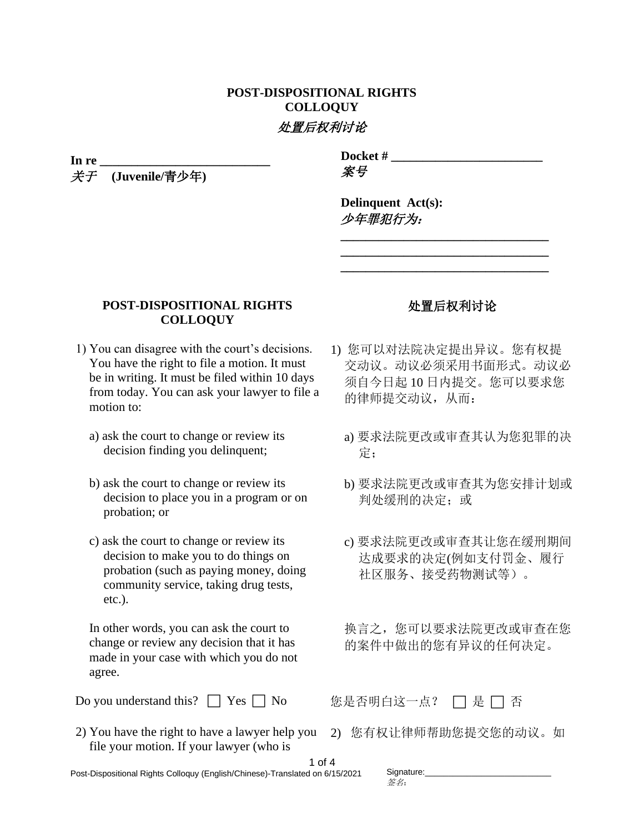## **POST-DISPOSITIONAL RIGHTS COLLOQUY** 处置后权利讨论

**In re \_\_\_\_\_\_\_\_\_\_\_\_\_\_\_\_\_\_\_\_\_\_\_\_\_\_\_**

关于 **(Juvenile/**青少年**)**

**Docket # \_\_\_\_\_\_\_\_\_\_\_\_\_\_\_\_\_\_\_\_\_\_\_\_** 案号

**Delinquent Act(s):**  少年罪犯行为:

## **POST-DISPOSITIONAL RIGHTS COLLOQUY**

- 1) You can disagree with the court's decisions. You have the right to file a motion. It must be in writing. It must be filed within 10 days from today. You can ask your lawyer to file a motion to:
	- a) ask the court to change or review its decision finding you delinquent;
	- b) ask the court to change or review its decision to place you in a program or on probation; or
	- c) ask the court to change or review its decision to make you to do things on probation (such as paying money, doing community service, taking drug tests, etc.).

In other words, you can ask the court to change or review any decision that it has made in your case with which you do not agree.

Do you understand this? □ Yes □ No <br>
您是否明白这一点? □ 是 □ 否

2) You have the right to have a lawyer help you 2) 您有权让律师帮助您提交您的动议。如 file your motion. If your lawyer (who is

## 处置后权利讨论

**\_\_\_\_\_\_\_\_\_\_\_\_\_\_\_\_\_\_\_\_\_\_\_\_\_\_\_\_\_\_\_\_\_ \_\_\_\_\_\_\_\_\_\_\_\_\_\_\_\_\_\_\_\_\_\_\_\_\_\_\_\_\_\_\_\_\_ \_\_\_\_\_\_\_\_\_\_\_\_\_\_\_\_\_\_\_\_\_\_\_\_\_\_\_\_\_\_\_\_\_**

- 1) 您可以对法院决定提出异议。您有权提 交动议。动议必须采用书面形式。动议必 须自今日起 10 日内提交。您可以要求您 的律师提交动议,从而:
	- a) 要求法院更改或审查其认为您犯罪的决 定;
	- b) 要求法院更改或审查其为您安排计划或 判处缓刑的决定: 或
	- c) 要求法院更改或审查其让您在缓刑期间 达成要求的决定(例如支付罚金、履行 社区服务、接受药物测试等)。

换言之,您可以要求法院更改或审查在您 的案件中做出的您有异议的任何决定。

1 of 4 Post-Dispositional Rights Colloquy (English/Chinese)-Translated on 6/15/2021

| Signature: |  |  |
|------------|--|--|
| 签名:        |  |  |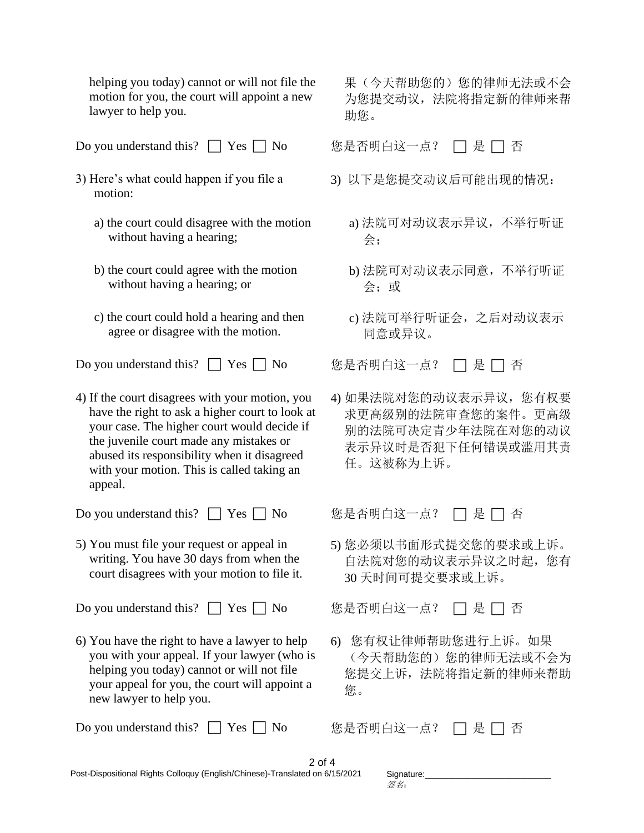helping you today) cannot or will not file the motion for you, the court will appoint a new lawyer to help you.

Do you understand this? □ Yes □ No <br>
%是否明白这一点? □ 是 □ 否

- 3) Here's what could happen if you file a motion:
	- a) the court could disagree with the motion without having a hearing;
	- b) the court could agree with the motion without having a hearing; or
	- c) the court could hold a hearing and then agree or disagree with the motion.
- Do you understand this? □ Yes □ No <br>
© 您是否明白这一点? □ 是 □ 否
- 4) If the court disagrees with your motion, you have the right to ask a higher court to look at your case. The higher court would decide if the juvenile court made any mistakes or abused its responsibility when it disagreed with your motion. This is called taking an appeal.

Do you understand this? □ Yes □ No 您是否明白这一点? □ 是 □ 否

5) You must file your request or appeal in writing. You have 30 days from when the court disagrees with your motion to file it.

Do you understand this? □ Yes □ No <br>
© 您是否明白这一点? □ 是 □ 否

6) You have the right to have a lawyer to help you with your appeal. If your lawyer (who is helping you today) cannot or will not file your appeal for you, the court will appoint a new lawyer to help you.

Do you understand this? □ Yes □ No <br>
© 您是否明白这一点? □ 是 □ 否

果(今天帮助您的)您的律师无法或不会 为您提交动议,法院将指定新的律师来帮 助您。

- 3) 以下是您提交动议后可能出现的情况:
	- a) 法院可对动议表示异议,不举行听证 会;
	- b) 法院可对动议表示同意,不举行听证 会;或
	- c) 法院可举行听证会,之后对动议表示 同意或异议。

4) 如果法院对您的动议表示异议,您有权要 求更高级别的法院审查您的案件。更高级 别的法院可决定青少年法院在对您的动议 表示异议时是否犯下任何错误或滥用其责 任。这被称为上诉。

5) 您必须以书面形式提交您的要求或上诉。 自法院对您的动议表示异议之时起,您有 30 天时间可提交要求或上诉。

6) 您有权让律师帮助您进行上诉。如果 (今天帮助您的)您的律师无法或不会为 您提交上诉,法院将指定新的律师来帮助 您。

| $2$ of 4                                                                     |  |
|------------------------------------------------------------------------------|--|
| Post-Dispositional Rights Colloquy (English/Chinese)-Translated on 6/15/2021 |  |

| Signature: |  |  |
|------------|--|--|
| 签名:        |  |  |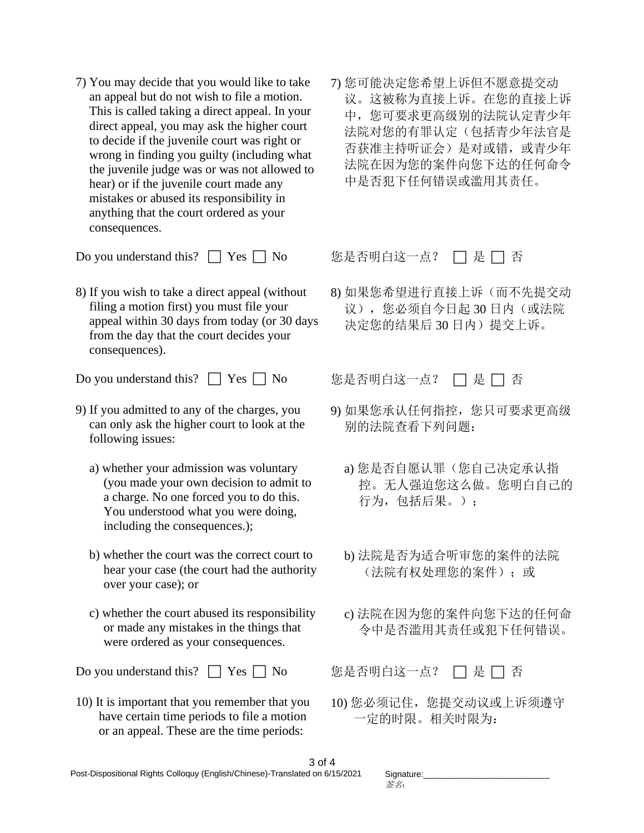7) You may decide that you would like to take an appeal but do not wish to file a motion. This is called taking a direct appeal. In your direct appeal, you may ask the higher court to decide if the juvenile court was right or wrong in finding you guilty (including what the juvenile judge was or was not allowed to hear) or if the juvenile court made any mistakes or abused its responsibility in anything that the court ordered as your consequences.

Do you understand this? □ Yes □ No 您是否明白这一点? □ 是 □ 否

8) If you wish to take a direct appeal (without filing a motion first) you must file your appeal within 30 days from today (or 30 days from the day that the court decides your consequences).

Do you understand this? □ Yes □ No <br>
© 您是否明白这一点? □ 是 □ 否

- 9) If you admitted to any of the charges, you can only ask the higher court to look at the following issues:
	- a) whether your admission was voluntary (you made your own decision to admit to a charge. No one forced you to do this. You understood what you were doing, including the consequences.);
	- b) whether the court was the correct court to hear your case (the court had the authority over your case); or
	- c) whether the court abused its responsibility or made any mistakes in the things that were ordered as your consequences.

Do you understand this? □ Yes □ No <br>
%是否明白这一点? □ 是 □ 否

10) It is important that you remember that you have certain time periods to file a motion or an appeal. These are the time periods:

7) 您可能决定您希望上诉但不愿意提交动 议。这被称为直接上诉。在您的直接上诉 中,您可要求更高级别的法院认定青少年 法院对您的有罪认定(包括青少年法官是 否获准主持听证会)是对或错,或青少年 法院在因为您的案件向您下达的任何命令 中是否犯下任何错误或滥用其责任。

8) 如果您希望进行直接上诉(而不先提交动 议),您必须自今日起 30 日内(或法院 决定您的结果后 30 日内)提交上诉。

- 9) 如果您承认任何指控,您只可要求更高级 别的法院查看下列问题:
	- a) 您是否自愿认罪(您自己决定承认指 控。无人强迫您这么做。您明白自己的 行为,包括后果。);
	- b) 法院是否为适合听审您的案件的法院 (法院有权处理您的案件);或
	- c) 法院在因为您的案件向您下达的任何命 令中是否滥用其责任或犯下任何错误。

10) 您必须记住, 您提交动议或上诉须遵守 一定的时限。相关时限为:

| Signature: |  |  |
|------------|--|--|
| 签名:        |  |  |